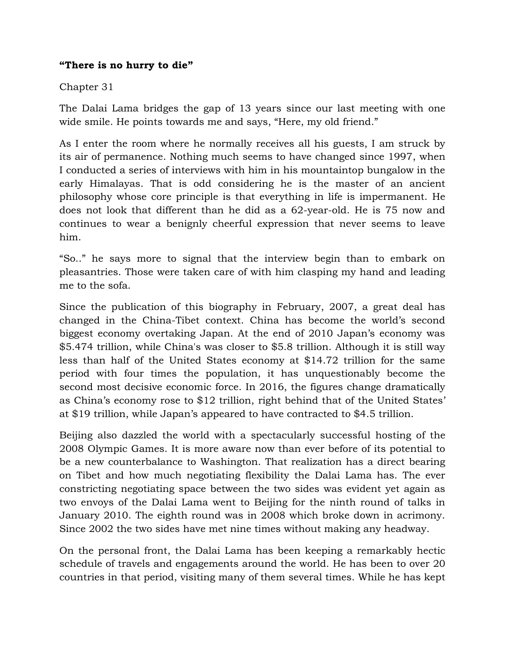## **"There is no hurry to die"**

## Chapter 31

The Dalai Lama bridges the gap of 13 years since our last meeting with one wide smile. He points towards me and says, "Here, my old friend."

As I enter the room where he normally receives all his guests, I am struck by its air of permanence. Nothing much seems to have changed since 1997, when I conducted a series of interviews with him in his mountaintop bungalow in the early Himalayas. That is odd considering he is the master of an ancient philosophy whose core principle is that everything in life is impermanent. He does not look that different than he did as a 62-year-old. He is 75 now and continues to wear a benignly cheerful expression that never seems to leave him.

"So.." he says more to signal that the interview begin than to embark on pleasantries. Those were taken care of with him clasping my hand and leading me to the sofa.

Since the publication of this biography in February, 2007, a great deal has changed in the China-Tibet context. China has become the world's second biggest economy overtaking Japan. At the end of 2010 Japan's economy was \$5.474 trillion, while China's was closer to \$5.8 trillion. Although it is still way less than half of the United States economy at \$14.72 trillion for the same period with four times the population, it has unquestionably become the second most decisive economic force. In 2016, the figures change dramatically as China's economy rose to \$12 trillion, right behind that of the United States' at \$19 trillion, while Japan's appeared to have contracted to \$4.5 trillion.

Beijing also dazzled the world with a spectacularly successful hosting of the 2008 Olympic Games. It is more aware now than ever before of its potential to be a new counterbalance to Washington. That realization has a direct bearing on Tibet and how much negotiating flexibility the Dalai Lama has. The ever constricting negotiating space between the two sides was evident yet again as two envoys of the Dalai Lama went to Beijing for the ninth round of talks in January 2010. The eighth round was in 2008 which broke down in acrimony. Since 2002 the two sides have met nine times without making any headway.

On the personal front, the Dalai Lama has been keeping a remarkably hectic schedule of travels and engagements around the world. He has been to over 20 countries in that period, visiting many of them several times. While he has kept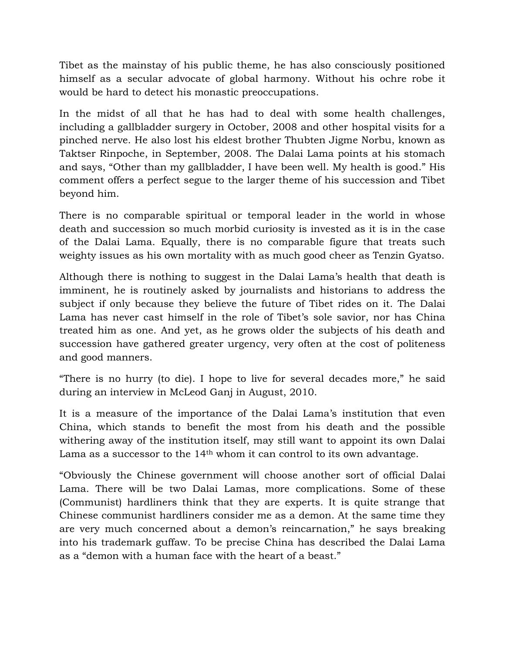Tibet as the mainstay of his public theme, he has also consciously positioned himself as a secular advocate of global harmony. Without his ochre robe it would be hard to detect his monastic preoccupations.

In the midst of all that he has had to deal with some health challenges, including a gallbladder surgery in October, 2008 and other hospital visits for a pinched nerve. He also lost his eldest brother Thubten Jigme Norbu, known as Taktser Rinpoche, in September, 2008. The Dalai Lama points at his stomach and says, "Other than my gallbladder, I have been well. My health is good." His comment offers a perfect segue to the larger theme of his succession and Tibet beyond him.

There is no comparable spiritual or temporal leader in the world in whose death and succession so much morbid curiosity is invested as it is in the case of the Dalai Lama. Equally, there is no comparable figure that treats such weighty issues as his own mortality with as much good cheer as Tenzin Gyatso.

Although there is nothing to suggest in the Dalai Lama's health that death is imminent, he is routinely asked by journalists and historians to address the subject if only because they believe the future of Tibet rides on it. The Dalai Lama has never cast himself in the role of Tibet's sole savior, nor has China treated him as one. And yet, as he grows older the subjects of his death and succession have gathered greater urgency, very often at the cost of politeness and good manners.

"There is no hurry (to die). I hope to live for several decades more," he said during an interview in McLeod Ganj in August, 2010.

It is a measure of the importance of the Dalai Lama's institution that even China, which stands to benefit the most from his death and the possible withering away of the institution itself, may still want to appoint its own Dalai Lama as a successor to the 14<sup>th</sup> whom it can control to its own advantage.

"Obviously the Chinese government will choose another sort of official Dalai Lama. There will be two Dalai Lamas, more complications. Some of these (Communist) hardliners think that they are experts. It is quite strange that Chinese communist hardliners consider me as a demon. At the same time they are very much concerned about a demon's reincarnation," he says breaking into his trademark guffaw. To be precise China has described the Dalai Lama as a "demon with a human face with the heart of a beast."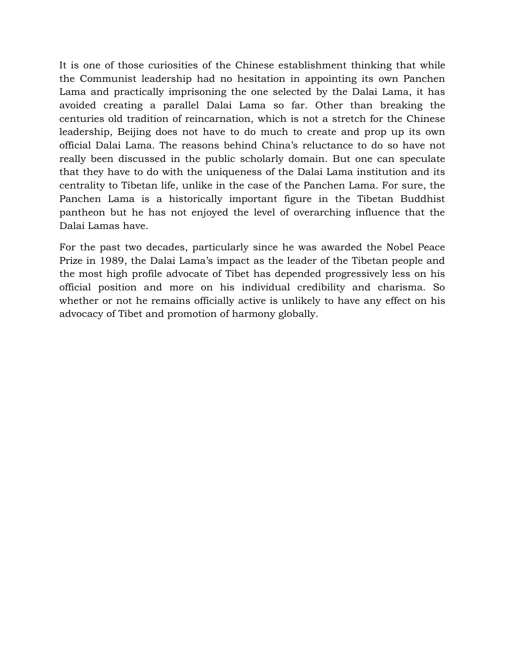It is one of those curiosities of the Chinese establishment thinking that while the Communist leadership had no hesitation in appointing its own Panchen Lama and practically imprisoning the one selected by the Dalai Lama, it has avoided creating a parallel Dalai Lama so far. Other than breaking the centuries old tradition of reincarnation, which is not a stretch for the Chinese leadership, Beijing does not have to do much to create and prop up its own official Dalai Lama. The reasons behind China's reluctance to do so have not really been discussed in the public scholarly domain. But one can speculate that they have to do with the uniqueness of the Dalai Lama institution and its centrality to Tibetan life, unlike in the case of the Panchen Lama. For sure, the Panchen Lama is a historically important figure in the Tibetan Buddhist pantheon but he has not enjoyed the level of overarching influence that the Dalai Lamas have.

For the past two decades, particularly since he was awarded the Nobel Peace Prize in 1989, the Dalai Lama's impact as the leader of the Tibetan people and the most high profile advocate of Tibet has depended progressively less on his official position and more on his individual credibility and charisma. So whether or not he remains officially active is unlikely to have any effect on his advocacy of Tibet and promotion of harmony globally.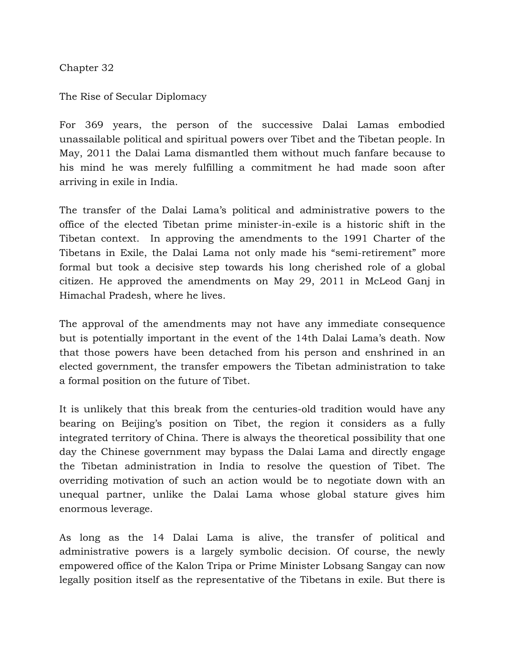Chapter 32

The Rise of Secular Diplomacy

For 369 years, the person of the successive Dalai Lamas embodied unassailable political and spiritual powers over Tibet and the Tibetan people. In May, 2011 the Dalai Lama dismantled them without much fanfare because to his mind he was merely fulfilling a commitment he had made soon after arriving in exile in India.

The transfer of the Dalai Lama's political and administrative powers to the office of the elected Tibetan prime minister-in-exile is a historic shift in the Tibetan context. In approving the amendments to the 1991 Charter of the Tibetans in Exile, the Dalai Lama not only made his "semi-retirement" more formal but took a decisive step towards his long cherished role of a global citizen. He approved the amendments on May 29, 2011 in McLeod Ganj in Himachal Pradesh, where he lives.

The approval of the amendments may not have any immediate consequence but is potentially important in the event of the 14th Dalai Lama's death. Now that those powers have been detached from his person and enshrined in an elected government, the transfer empowers the Tibetan administration to take a formal position on the future of Tibet.

It is unlikely that this break from the centuries-old tradition would have any bearing on Beijing's position on Tibet, the region it considers as a fully integrated territory of China. There is always the theoretical possibility that one day the Chinese government may bypass the Dalai Lama and directly engage the Tibetan administration in India to resolve the question of Tibet. The overriding motivation of such an action would be to negotiate down with an unequal partner, unlike the Dalai Lama whose global stature gives him enormous leverage.

As long as the 14 Dalai Lama is alive, the transfer of political and administrative powers is a largely symbolic decision. Of course, the newly empowered office of the Kalon Tripa or Prime Minister Lobsang Sangay can now legally position itself as the representative of the Tibetans in exile. But there is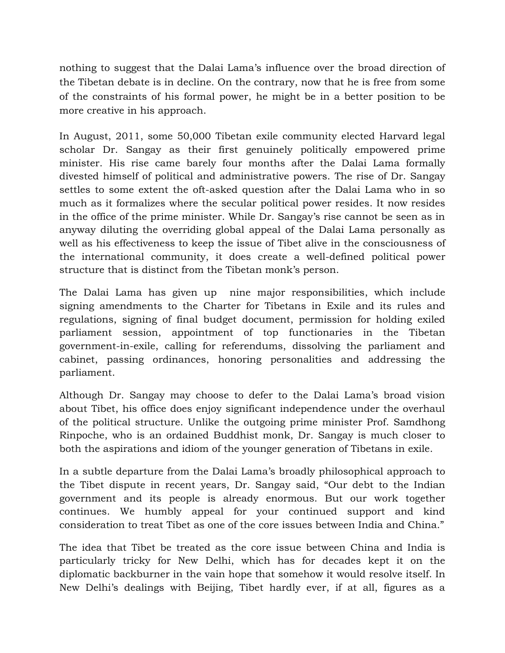nothing to suggest that the Dalai Lama's influence over the broad direction of the Tibetan debate is in decline. On the contrary, now that he is free from some of the constraints of his formal power, he might be in a better position to be more creative in his approach.

In August, 2011, some 50,000 Tibetan exile community elected Harvard legal scholar Dr. Sangay as their first genuinely politically empowered prime minister. His rise came barely four months after the Dalai Lama formally divested himself of political and administrative powers. The rise of Dr. Sangay settles to some extent the oft-asked question after the Dalai Lama who in so much as it formalizes where the secular political power resides. It now resides in the office of the prime minister. While Dr. Sangay's rise cannot be seen as in anyway diluting the overriding global appeal of the Dalai Lama personally as well as his effectiveness to keep the issue of Tibet alive in the consciousness of the international community, it does create a well-defined political power structure that is distinct from the Tibetan monk's person.

The Dalai Lama has given up nine major responsibilities, which include signing amendments to the Charter for Tibetans in Exile and its rules and regulations, signing of final budget document, permission for holding exiled parliament session, appointment of top functionaries in the Tibetan government-in-exile, calling for referendums, dissolving the parliament and cabinet, passing ordinances, honoring personalities and addressing the parliament.

Although Dr. Sangay may choose to defer to the Dalai Lama's broad vision about Tibet, his office does enjoy significant independence under the overhaul of the political structure. Unlike the outgoing prime minister Prof. Samdhong Rinpoche, who is an ordained Buddhist monk, Dr. Sangay is much closer to both the aspirations and idiom of the younger generation of Tibetans in exile.

In a subtle departure from the Dalai Lama's broadly philosophical approach to the Tibet dispute in recent years, Dr. Sangay said, "Our debt to the Indian government and its people is already enormous. But our work together continues. We humbly appeal for your continued support and kind consideration to treat Tibet as one of the core issues between India and China."

The idea that Tibet be treated as the core issue between China and India is particularly tricky for New Delhi, which has for decades kept it on the diplomatic backburner in the vain hope that somehow it would resolve itself. In New Delhi's dealings with Beijing, Tibet hardly ever, if at all, figures as a